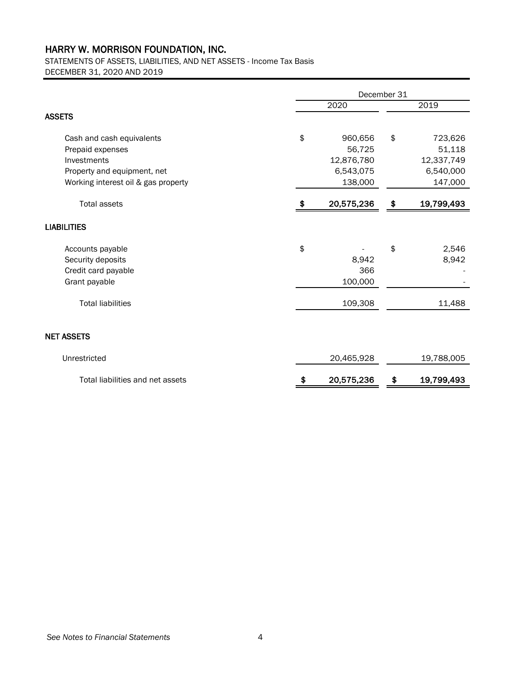## HARRY W. MORRISON FOUNDATION, INC.

STATEMENTS OF ASSETS, LIABILITIES, AND NET ASSETS - Income Tax Basis DECEMBER 31, 2020 AND 2019

|                                     | December 31 |            |      |            |
|-------------------------------------|-------------|------------|------|------------|
|                                     | 2020        |            | 2019 |            |
| <b>ASSETS</b>                       |             |            |      |            |
| Cash and cash equivalents           | \$          | 960,656    | \$   | 723,626    |
| Prepaid expenses                    |             | 56,725     |      | 51,118     |
| Investments                         |             | 12,876,780 |      | 12,337,749 |
| Property and equipment, net         |             | 6,543,075  |      | 6,540,000  |
| Working interest oil & gas property |             | 138,000    |      | 147,000    |
| <b>Total assets</b>                 | \$          | 20,575,236 | \$   | 19,799,493 |
| <b>LIABILITIES</b>                  |             |            |      |            |
| Accounts payable                    | \$          |            | \$   | 2,546      |
| Security deposits                   |             | 8,942      |      | 8,942      |
| Credit card payable                 |             | 366        |      |            |
| Grant payable                       |             | 100,000    |      |            |
| <b>Total liabilities</b>            |             | 109,308    |      | 11,488     |
| <b>NET ASSETS</b>                   |             |            |      |            |
| Unrestricted                        |             | 20,465,928 |      | 19,788,005 |
| Total liabilities and net assets    |             | 20,575,236 | \$   | 19,799,493 |